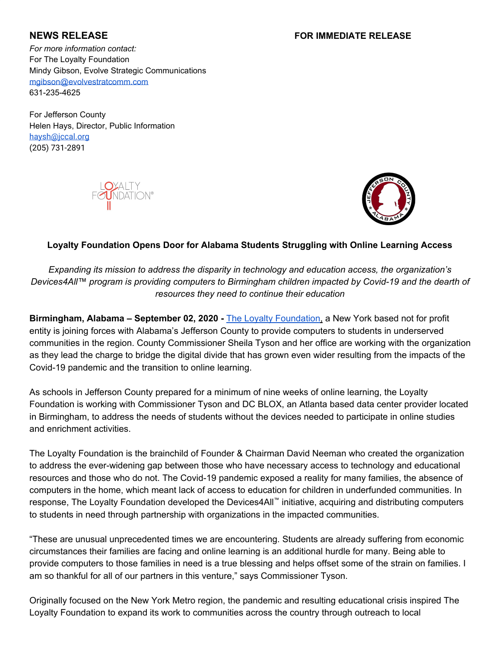# **NEWS RELEASE FOR IMMEDIATE RELEASE**

*For more information contact:* For The Loyalty Foundation Mindy Gibson, Evolve Strategic Communications [mgibson@evolvestratcomm.com](mailto:mgibson@evolvestratcomm.com) 631-235-4625

For Jefferson County Helen Hays, Director, Public Information [haysh@jccal.org](mailto:haysh@jccal.org) (205) 731-2891





## **Loyalty Foundation Opens Door for Alabama Students Struggling with Online Learning Access**

*Expanding its mission to address the disparity in technology and education access, the organization's Devices4All™ program is providing computers to Birmingham children impacted by Covid-19 and the dearth of resources they need to continue their education*

**Birmingham, Alabama – September 02, 2020 -** [The](https://www.loyaltyfoundation.org/) Loyalty [Foundation,](https://www.loyaltyfoundation.org/) a New York based not for profit entity is joining forces with Alabama's Jefferson County to provide computers to students in underserved communities in the region. County Commissioner Sheila Tyson and her office are working with the organization as they lead the charge to bridge the digital divide that has grown even wider resulting from the impacts of the Covid-19 pandemic and the transition to online learning.

As schools in Jefferson County prepared for a minimum of nine weeks of online learning, the Loyalty Foundation is working with Commissioner Tyson and DC BLOX, an Atlanta based data center provider located in Birmingham, to address the needs of students without the devices needed to participate in online studies and enrichment activities.

The Loyalty Foundation is the brainchild of Founder & Chairman David Neeman who created the organization to address the ever-widening gap between those who have necessary access to technology and educational resources and those who do not. The Covid-19 pandemic exposed a reality for many families, the absence of computers in the home, which meant lack of access to education for children in underfunded communities. In response, The Loyalty Foundation developed the Devices4All™ initiative, acquiring and distributing computers to students in need through partnership with organizations in the impacted communities.

"These are unusual unprecedented times we are encountering. Students are already suffering from economic circumstances their families are facing and online learning is an additional hurdle for many. Being able to provide computers to those families in need is a true blessing and helps offset some of the strain on families. I am so thankful for all of our partners in this venture," says Commissioner Tyson.

Originally focused on the New York Metro region, the pandemic and resulting educational crisis inspired The Loyalty Foundation to expand its work to communities across the country through outreach to local